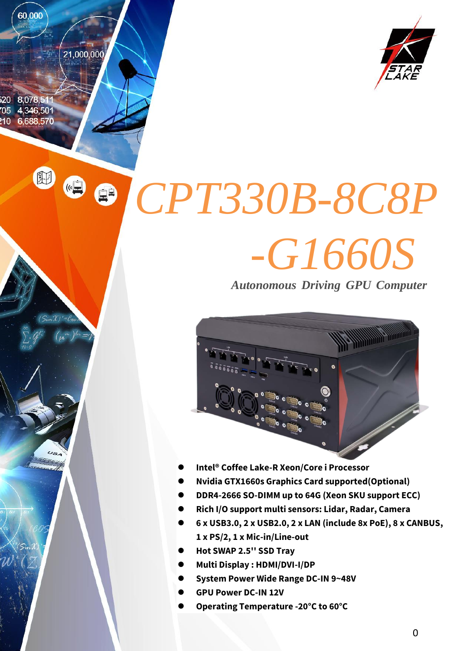20 8.078.51  $705$  4,346,501 10 6,688,570

田

 $\bigcirc$ 

60,000

21,000,000

*CPT330B-8C8P -G1660S*

*Autonomous Driving GPU Computer*



- **Intel® Coffee Lake-R Xeon/Core i Processor**
- **Nvidia GTX1660s Graphics Card supported(Optional)**
- **DDR4-2666 SO-DIMM up to 64G (Xeon SKU support ECC)**
- **Rich I/O support multi sensors: Lidar, Radar, Camera**
- **6 x USB3.0, 2 x USB2.0, 2 x LAN (include 8x PoE), 8 x CANBUS, 1 x PS/2, 1 x Mic-in/Line-out**
- **Hot SWAP 2.5'' SSD Tray**
- **Multi Display : HDMI/DVI-I/DP**
- **System Power Wide Range DC-IN 9~48V**
- **GPU Power DC-IN 12V**
- **Operating Temperature -20°C to 60°C**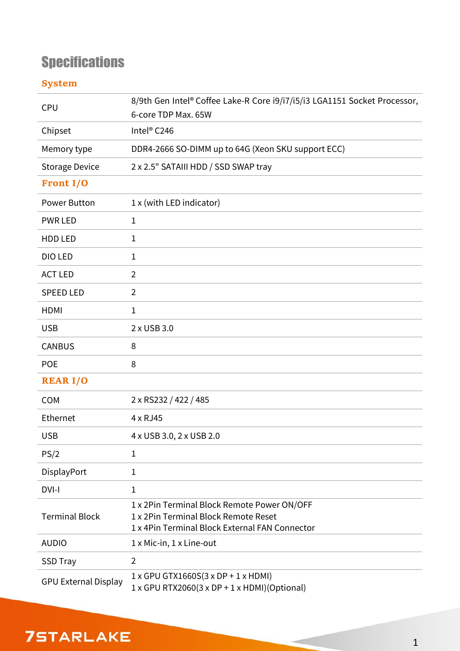# **Specifications**

#### **System**

| <b>CPU</b>                  | 8/9th Gen Intel® Coffee Lake-R Core i9/i7/i5/i3 LGA1151 Socket Processor,              |  |  |  |  |  |
|-----------------------------|----------------------------------------------------------------------------------------|--|--|--|--|--|
|                             | 6-core TDP Max. 65W                                                                    |  |  |  |  |  |
| Chipset                     | Intel <sup>®</sup> C246                                                                |  |  |  |  |  |
| Memory type                 | DDR4-2666 SO-DIMM up to 64G (Xeon SKU support ECC)                                     |  |  |  |  |  |
| <b>Storage Device</b>       | 2 x 2.5" SATAIII HDD / SSD SWAP tray                                                   |  |  |  |  |  |
| <b>Front I/O</b>            |                                                                                        |  |  |  |  |  |
| Power Button                | 1 x (with LED indicator)                                                               |  |  |  |  |  |
| <b>PWR LED</b>              | $\mathbf{1}$                                                                           |  |  |  |  |  |
| HDD LED                     | $\mathbf{1}$                                                                           |  |  |  |  |  |
| DIO LED                     | $\mathbf{1}$                                                                           |  |  |  |  |  |
| <b>ACT LED</b>              | $\overline{2}$                                                                         |  |  |  |  |  |
| <b>SPEED LED</b>            | $\overline{2}$                                                                         |  |  |  |  |  |
| <b>HDMI</b>                 | $\mathbf{1}$                                                                           |  |  |  |  |  |
| <b>USB</b>                  | 2 x USB 3.0                                                                            |  |  |  |  |  |
| <b>CANBUS</b>               | 8                                                                                      |  |  |  |  |  |
| <b>POE</b>                  | 8                                                                                      |  |  |  |  |  |
| <b>REAR I/O</b>             |                                                                                        |  |  |  |  |  |
| <b>COM</b>                  | 2 x RS232 / 422 / 485                                                                  |  |  |  |  |  |
| Ethernet                    | 4 x RJ45                                                                               |  |  |  |  |  |
| <b>USB</b>                  | 4 x USB 3.0, 2 x USB 2.0                                                               |  |  |  |  |  |
| PS/2                        | 1                                                                                      |  |  |  |  |  |
| DisplayPort                 | $\mathbf{1}$                                                                           |  |  |  |  |  |
| DVI-I                       | 1                                                                                      |  |  |  |  |  |
| <b>Terminal Block</b>       | 1 x 2Pin Terminal Block Remote Power ON/OFF                                            |  |  |  |  |  |
|                             | 1 x 2Pin Terminal Block Remote Reset<br>1 x 4Pin Terminal Block External FAN Connector |  |  |  |  |  |
| <b>AUDIO</b>                | $1 \times$ Mic-in, $1 \times$ Line-out                                                 |  |  |  |  |  |
| <b>SSD Tray</b>             | $\overline{2}$                                                                         |  |  |  |  |  |
|                             | $1 \times$ GPU GTX1660S(3 x DP + 1 x HDMI)                                             |  |  |  |  |  |
| <b>GPU External Display</b> | $1 \times$ GPU RTX2060(3 x DP + 1 x HDMI)(Optional)                                    |  |  |  |  |  |

## **75TARLAKE**

**COLLECTION**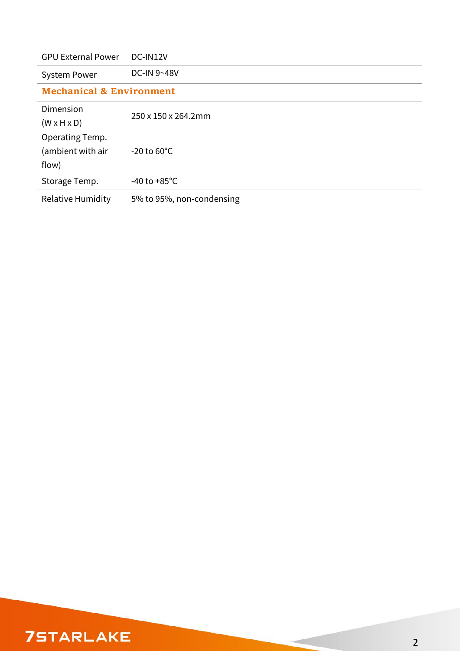| <b>GPU External Power</b>           | DC-IN12V                  |  |  |  |  |  |
|-------------------------------------|---------------------------|--|--|--|--|--|
| <b>System Power</b>                 | DC-IN 9~48V               |  |  |  |  |  |
| <b>Mechanical &amp; Environment</b> |                           |  |  |  |  |  |
| Dimension                           | 250 x 150 x 264.2mm       |  |  |  |  |  |
| $(W \times H \times D)$             |                           |  |  |  |  |  |
| Operating Temp.                     |                           |  |  |  |  |  |
| (ambient with air                   | $-20$ to $60^{\circ}$ C   |  |  |  |  |  |
| flow)                               |                           |  |  |  |  |  |
| Storage Temp.                       | -40 to +85 $^{\circ}$ C   |  |  |  |  |  |
| <b>Relative Humidity</b>            | 5% to 95%, non-condensing |  |  |  |  |  |

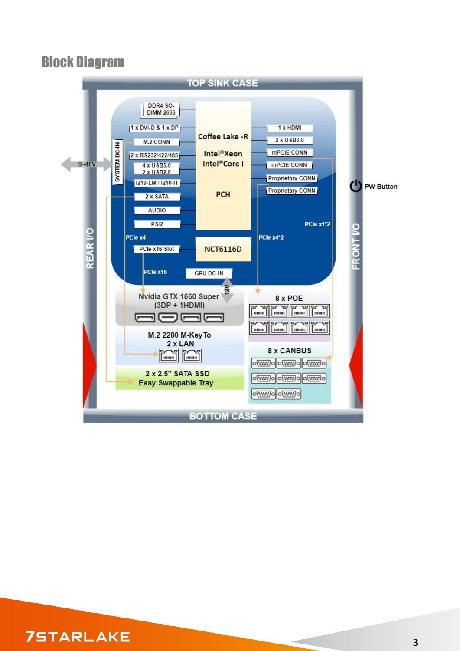### Block Diagram



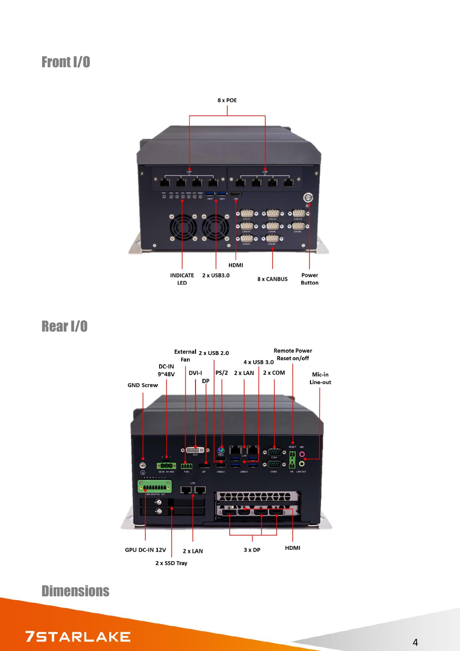## Front I/O



Rear I/O



**Dimensions** 

**75TARLAKE** 

#### 4